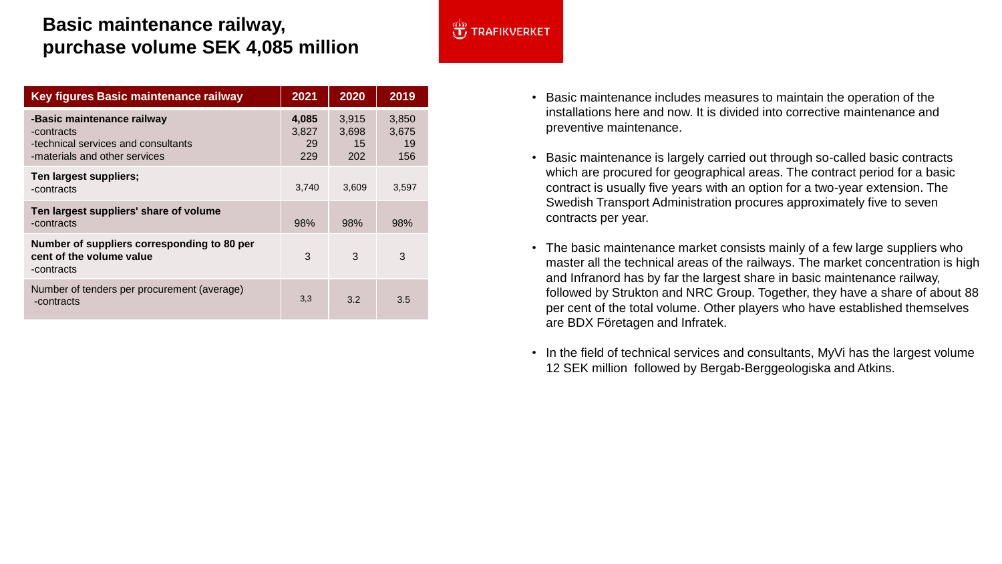## **Basic maintenance railway, purchase volume SEK 4,085 million**

| <b>Key figures Basic maintenance railway</b>                                                                     | 2021                        | 2020                        | 2019                        |
|------------------------------------------------------------------------------------------------------------------|-----------------------------|-----------------------------|-----------------------------|
| -Basic maintenance railway<br>-contracts<br>-technical services and consultants<br>-materials and other services | 4,085<br>3,827<br>29<br>229 | 3,915<br>3,698<br>15<br>202 | 3,850<br>3,675<br>19<br>156 |
| Ten largest suppliers;<br>-contracts                                                                             | 3,740                       | 3,609                       | 3,597                       |
| Ten largest suppliers' share of volume<br>-contracts                                                             | 98%                         | 98%                         | 98%                         |
| Number of suppliers corresponding to 80 per<br>cent of the volume value<br>-contracts                            | 3                           | 3                           | 3                           |
| Number of tenders per procurement (average)<br>-contracts                                                        | 3,3                         | $3.2^{\circ}$               | 3.5                         |

## **J** TRAFIKVERKET

- Basic maintenance includes measures to maintain the operation of the installations here and now. It is divided into corrective maintenance and preventive maintenance.
- Basic maintenance is largely carried out through so-called basic contracts which are procured for geographical areas. The contract period for a basic contract is usually five years with an option for a two-year extension. The Swedish Transport Administration procures approximately five to seven contracts per year.
- The basic maintenance market consists mainly of a few large suppliers who master all the technical areas of the railways. The market concentration is high and Infranord has by far the largest share in basic maintenance railway, followed by Strukton and NRC Group. Together, they have a share of about 88 per cent of the total volume. Other players who have established themselves are BDX Företagen and Infratek.
- In the field of technical services and consultants, MyVi has the largest volume 12 SEK million followed by Bergab-Berggeologiska and Atkins.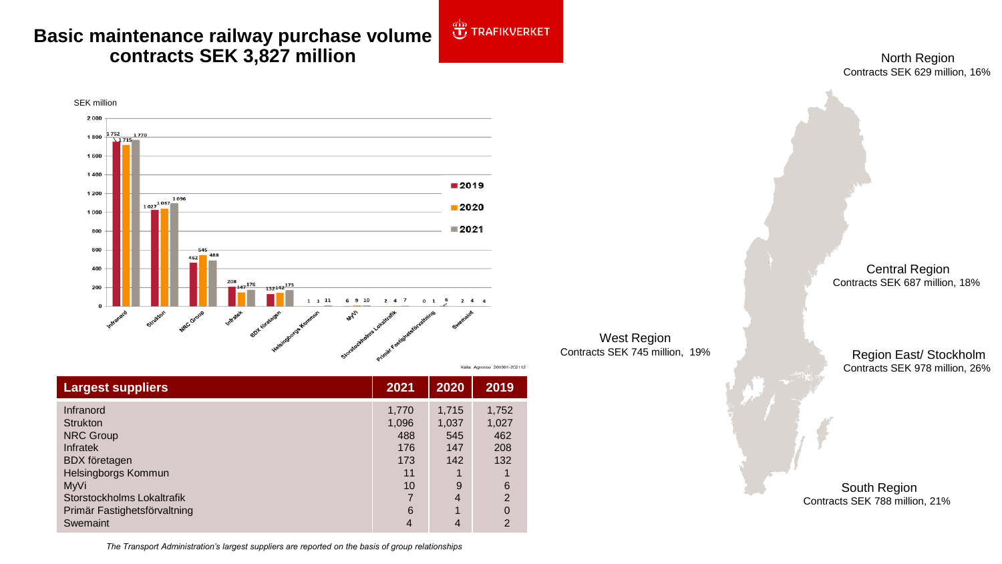## **Basic maintenance railway purchase volume**  2 **contracts SEK 3,827 million**

North Region Contracts SEK 629 million, 16%



| <b>Largest suppliers</b>                                                                                           | 2021                                      | 2020                                | 2019                                |
|--------------------------------------------------------------------------------------------------------------------|-------------------------------------------|-------------------------------------|-------------------------------------|
| Infranord<br><b>Strukton</b><br><b>NRC Group</b><br><b>Infratek</b><br><b>BDX</b> företagen<br>Helsingborgs Kommun | 1,770<br>1,096<br>488<br>176<br>173<br>11 | 1,715<br>1,037<br>545<br>147<br>142 | 1,752<br>1,027<br>462<br>208<br>132 |
| MyVi                                                                                                               | 10                                        | 9                                   | $6\phantom{1}6$                     |
| Storstockholms Lokaltrafik                                                                                         |                                           | 4                                   | 2                                   |
| Primär Fastighetsförvaltning                                                                                       | 6                                         | 1                                   | $\Omega$                            |
| Swemaint                                                                                                           | 4                                         | 4                                   | $\overline{2}$                      |

West Region Contracts SEK 745 million, 19%

**JE TRAFIKVERKET** 

Central Region Contracts SEK 687 million, 18%

Region East/ Stockholm Contracts SEK 978 million, 26%

South Region Contracts SEK 788 million, 21%

*The Transport Administration's largest suppliers are reported on the basis of group relationships*